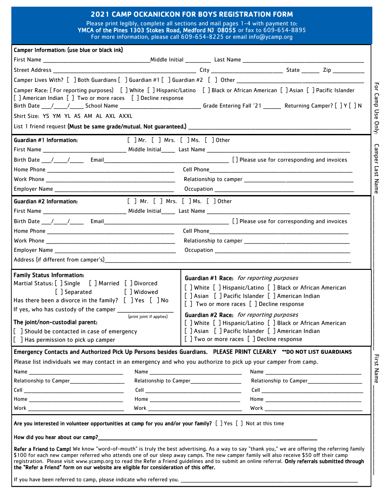## **2021 CAMP OCKANICKON FOR BOYS REGISTRATION FORM**

Please print legibly, complete all sections and mail pages 1-4 with payment to: YMCA of the Pines 1303 Stokes Road, Medford NJ 08055 or fax to 609-654-8895 For more information, please call 609-654-8225 or email info@ycamp.org

| Camper Information: (use blue or black ink)                                                                                                                                                                                                                                                                                                                                                        |                                                                                                                                                                                                                                                                                                                                                                                                                                                  |
|----------------------------------------------------------------------------------------------------------------------------------------------------------------------------------------------------------------------------------------------------------------------------------------------------------------------------------------------------------------------------------------------------|--------------------------------------------------------------------------------------------------------------------------------------------------------------------------------------------------------------------------------------------------------------------------------------------------------------------------------------------------------------------------------------------------------------------------------------------------|
|                                                                                                                                                                                                                                                                                                                                                                                                    |                                                                                                                                                                                                                                                                                                                                                                                                                                                  |
|                                                                                                                                                                                                                                                                                                                                                                                                    |                                                                                                                                                                                                                                                                                                                                                                                                                                                  |
|                                                                                                                                                                                                                                                                                                                                                                                                    |                                                                                                                                                                                                                                                                                                                                                                                                                                                  |
| [] American Indian [] Two or more races [] Decline response                                                                                                                                                                                                                                                                                                                                        | Camper Race: (For reporting purposes) [ ] White [ ] Hispanic/Latino [ ] Black or African American [ ] Asian [ ] Pacific Islander<br>Birth Date ___/____/_____ School Name ________________________________Grade Entering Fall '21 _______ Returning Camper? [ ] Y [ ] N                                                                                                                                                                          |
| Shirt Size: YS YM YL AS AM AL AXL AXXL                                                                                                                                                                                                                                                                                                                                                             |                                                                                                                                                                                                                                                                                                                                                                                                                                                  |
|                                                                                                                                                                                                                                                                                                                                                                                                    |                                                                                                                                                                                                                                                                                                                                                                                                                                                  |
| Guardian #1 Information:                                                                                                                                                                                                                                                                                                                                                                           | [ ] Mr. [ ] Mrs. [ ] Ms. [ ] Other                                                                                                                                                                                                                                                                                                                                                                                                               |
|                                                                                                                                                                                                                                                                                                                                                                                                    |                                                                                                                                                                                                                                                                                                                                                                                                                                                  |
|                                                                                                                                                                                                                                                                                                                                                                                                    | Birth Date $\frac{1}{\frac{1}{2} \cdot \frac{1}{\frac{1}{2} \cdot \frac{1}{2} \cdot \frac{1}{2} \cdot \frac{1}{2} \cdot \frac{1}{2} \cdot \frac{1}{2} \cdot \frac{1}{2} \cdot \frac{1}{2} \cdot \frac{1}{2} \cdot \frac{1}{2} \cdot \frac{1}{2} \cdot \frac{1}{2} \cdot \frac{1}{2} \cdot \frac{1}{2} \cdot \frac{1}{2} \cdot \frac{1}{2} \cdot \frac{1}{2} \cdot \frac{1}{2} \cdot \frac{1}{2} \cdot \frac{1}{2} \cdot \frac{1}{2} \cdot \$     |
|                                                                                                                                                                                                                                                                                                                                                                                                    |                                                                                                                                                                                                                                                                                                                                                                                                                                                  |
|                                                                                                                                                                                                                                                                                                                                                                                                    |                                                                                                                                                                                                                                                                                                                                                                                                                                                  |
|                                                                                                                                                                                                                                                                                                                                                                                                    |                                                                                                                                                                                                                                                                                                                                                                                                                                                  |
| Guardian #2 Information:                                                                                                                                                                                                                                                                                                                                                                           | [ ] Mr. [ ] Mrs. [ ] Ms. [ ] Other                                                                                                                                                                                                                                                                                                                                                                                                               |
|                                                                                                                                                                                                                                                                                                                                                                                                    |                                                                                                                                                                                                                                                                                                                                                                                                                                                  |
|                                                                                                                                                                                                                                                                                                                                                                                                    |                                                                                                                                                                                                                                                                                                                                                                                                                                                  |
|                                                                                                                                                                                                                                                                                                                                                                                                    |                                                                                                                                                                                                                                                                                                                                                                                                                                                  |
|                                                                                                                                                                                                                                                                                                                                                                                                    |                                                                                                                                                                                                                                                                                                                                                                                                                                                  |
|                                                                                                                                                                                                                                                                                                                                                                                                    |                                                                                                                                                                                                                                                                                                                                                                                                                                                  |
|                                                                                                                                                                                                                                                                                                                                                                                                    |                                                                                                                                                                                                                                                                                                                                                                                                                                                  |
| <b>Family Status Information:</b><br>Martial Status: [ ] Single [ ] Married [ ] Divorced<br>[] Separated [] Widowed<br>Has there been a divorce in the family? $[$ ] Yes $[$ ] No<br>If yes, who has custody of the camper ________________<br>(print joint if applies)<br>The joint/non-custodial parent:<br>[ ] Should be contacted in case of emergency<br>[ ] Has permission to pick up camper | Guardian #1 Race: for reporting purposes<br>[ ] White [ ] Hispanic/Latino [ ] Black or African American<br>[ ] Asian [ ] Pacific Islander [ ] American Indian<br>[] Two or more races [] Decline response<br>Guardian #2 Race: for reporting purposes<br>[ ] White [ ] Hispanic/Latino [ ] Black or African American<br>[ ] Asian [ ] Pacific Islander [ ] American Indian<br>[] Two or more races [ ] Decline response                          |
|                                                                                                                                                                                                                                                                                                                                                                                                    | Emergency Contacts and Authorized Pick Up Persons besides Guardians. PLEASE PRINT CLEARLY **DO NOT LIST GUARDIANS                                                                                                                                                                                                                                                                                                                                |
| Please list individuals we may contact in an emergency and who you authorize to pick up your camper from camp.                                                                                                                                                                                                                                                                                     | Relationship to Camper_________________________                                                                                                                                                                                                                                                                                                                                                                                                  |
|                                                                                                                                                                                                                                                                                                                                                                                                    |                                                                                                                                                                                                                                                                                                                                                                                                                                                  |
|                                                                                                                                                                                                                                                                                                                                                                                                    |                                                                                                                                                                                                                                                                                                                                                                                                                                                  |
| Are you interested in volunteer opportunities at camp for you and/or your family? [ ] Yes [ ] Not at this time                                                                                                                                                                                                                                                                                     |                                                                                                                                                                                                                                                                                                                                                                                                                                                  |
| the "Refer a Friend" form on our website are eligible for consideration of this offer.                                                                                                                                                                                                                                                                                                             | Refer a Friend to Camp! We know "word-of-mouth" is truly the best advertising. As a way to say "thank you," we are offering the referring family<br>\$100 for each new camper referred who attends one of our sleep away camps. The new camper family will also receive \$50 off their camp<br>registration. Please visit www.ycamp.org to read the Refer a Friend guidelines and to submit an online referral. Only referrals submitted through |
|                                                                                                                                                                                                                                                                                                                                                                                                    |                                                                                                                                                                                                                                                                                                                                                                                                                                                  |

For Camp Use Only: Camper Last Name \_\_\_\_\_\_\_\_\_\_\_\_\_\_\_\_\_\_\_\_\_\_\_\_\_\_\_\_\_\_\_\_\_\_\_\_\_\_\_\_\_\_\_\_\_\_\_\_\_\_\_\_\_\_\_\_\_\_\_\_\_\_\_\_\_\_\_\_\_\_\_\_\_\_ First Name \_\_\_\_\_\_\_\_\_\_\_\_\_\_\_\_\_\_\_\_\_\_\_\_\_\_\_\_\_\_\_\_\_\_\_\_\_\_\_\_\_\_\_ First Name

For Camp Use Only:

Camper Last Name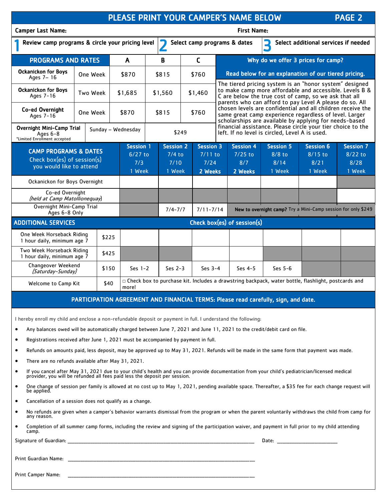|                                                                                                    |                                                                                                                                              |          |                                                |              |                                                |             |                                                  |               |                                                      | PLEASE PRINT YOUR CAMPER'S NAME BELOW                                                                                                                                       |                                                                                                                                                                                  |                                                 |                                                 | <b>PAGE 2</b>                        |  |
|----------------------------------------------------------------------------------------------------|----------------------------------------------------------------------------------------------------------------------------------------------|----------|------------------------------------------------|--------------|------------------------------------------------|-------------|--------------------------------------------------|---------------|------------------------------------------------------|-----------------------------------------------------------------------------------------------------------------------------------------------------------------------------|----------------------------------------------------------------------------------------------------------------------------------------------------------------------------------|-------------------------------------------------|-------------------------------------------------|--------------------------------------|--|
| <b>Camper Last Name:</b>                                                                           |                                                                                                                                              |          |                                                |              |                                                |             |                                                  |               |                                                      | <b>First Name:</b>                                                                                                                                                          |                                                                                                                                                                                  |                                                 |                                                 |                                      |  |
| Review camp programs & circle your pricing level                                                   |                                                                                                                                              |          |                                                |              |                                                | 7           |                                                  |               |                                                      | Select camp programs & dates                                                                                                                                                | E                                                                                                                                                                                |                                                 |                                                 | Select additional services if needed |  |
| <b>PROGRAMS AND RATES</b>                                                                          |                                                                                                                                              |          |                                                | $\mathsf{A}$ |                                                | B           |                                                  | C             |                                                      |                                                                                                                                                                             |                                                                                                                                                                                  |                                                 | Why do we offer 3 prices for camp?              |                                      |  |
| <b>Ockanickon for Boys</b><br>Ages 7-16                                                            | One Week                                                                                                                                     |          |                                                | \$870        | \$815                                          |             | \$760                                            |               | Read below for an explanation of our tiered pricing. |                                                                                                                                                                             |                                                                                                                                                                                  |                                                 |                                                 |                                      |  |
| <b>Ockanickon for Boys</b><br>Ages 7-16                                                            | Two Week                                                                                                                                     |          |                                                | \$1,685      | \$1,560                                        |             | \$1,460                                          |               |                                                      | The tiered pricing system is an "honor system" designed<br>to make camp more affordable and accessible. Levels B &<br>C are below the true cost of camp, so we ask that all |                                                                                                                                                                                  |                                                 |                                                 |                                      |  |
| Co-ed Overnight<br>Ages 7-16                                                                       |                                                                                                                                              | One Week |                                                | \$870        |                                                | \$815       |                                                  | \$760         |                                                      |                                                                                                                                                                             | parents who can afford to pay Level A please do so. All<br>chosen levels are confidential and all children receive the<br>same great camp experience regardless of level. Larger |                                                 |                                                 |                                      |  |
| <b>Overnight Mini-Camp Trial</b><br>Sunday - Wednesday<br>Ages 6-8<br>*Limited Enrollment accepted |                                                                                                                                              |          |                                                |              | \$249                                          |             |                                                  |               |                                                      | scholarships are available by applying for needs-based<br>financial assistance. Please circle your tier choice to the<br>left. If no level is circled, Level A is used.     |                                                                                                                                                                                  |                                                 |                                                 |                                      |  |
| <b>CAMP PROGRAMS &amp; DATES</b><br>Check box(es) of session(s)<br>you would like to attend        |                                                                                                                                              |          | <b>Session 1</b><br>$6/27$ to<br>7/3<br>1 Week |              | <b>Session 2</b><br>$7/4$ to<br>7/10<br>1 Week |             | <b>Session 3</b><br>$7/11$ to<br>7/24<br>2 Weeks |               | <b>Session 4</b><br>$7/25$ to<br>8/7<br>2 Weeks      |                                                                                                                                                                             | <b>Session 5</b><br>$8/8$ to<br>8/14<br>1 Week                                                                                                                                   | <b>Session 6</b><br>$8/15$ to<br>8/21<br>1 Week | <b>Session 7</b><br>$8/22$ to<br>8/28<br>1 Week |                                      |  |
| Ockanickon for Boys Overnight                                                                      |                                                                                                                                              |          |                                                |              |                                                |             |                                                  |               |                                                      |                                                                                                                                                                             |                                                                                                                                                                                  |                                                 |                                                 |                                      |  |
| Co-ed Overnight<br>(held at Camp Matollionequay)                                                   |                                                                                                                                              |          |                                                |              |                                                |             |                                                  |               |                                                      |                                                                                                                                                                             |                                                                                                                                                                                  |                                                 |                                                 |                                      |  |
| Overnight Mini-Camp Trial<br>Ages 6-8 Only                                                         |                                                                                                                                              |          |                                                |              |                                                | $7/4 - 7/7$ |                                                  | $7/11 - 7/14$ |                                                      | New to overnight camp? Try a Mini-Camp session for only \$249                                                                                                               |                                                                                                                                                                                  |                                                 |                                                 |                                      |  |
| <b>ADDITIONAL SERVICES</b>                                                                         |                                                                                                                                              |          |                                                |              |                                                |             |                                                  |               |                                                      | Check box(es) of session(s)                                                                                                                                                 |                                                                                                                                                                                  |                                                 |                                                 |                                      |  |
| One Week Horseback Riding<br>1 hour daily, minimum age 7                                           |                                                                                                                                              | \$225    |                                                |              |                                                |             |                                                  |               |                                                      |                                                                                                                                                                             |                                                                                                                                                                                  |                                                 |                                                 |                                      |  |
| Two Week Horseback Riding<br>1 hour daily, minimum age 7                                           |                                                                                                                                              | \$425    |                                                |              |                                                |             |                                                  |               |                                                      |                                                                                                                                                                             |                                                                                                                                                                                  |                                                 |                                                 |                                      |  |
| Changeover Weekend<br>(Saturday-Sunday)                                                            |                                                                                                                                              | \$150    |                                                | Ses $1-2$    |                                                | Ses $2-3$   |                                                  | Ses $3-4$     |                                                      | Ses $4-5$                                                                                                                                                                   |                                                                                                                                                                                  | Ses $5-6$                                       |                                                 |                                      |  |
|                                                                                                    | □ Check box to purchase kit. Includes a drawstring backpack, water bottle, flashlight, postcards and<br>\$40<br>Welcome to Camp Kit<br>more! |          |                                                |              |                                                |             |                                                  |               |                                                      |                                                                                                                                                                             |                                                                                                                                                                                  |                                                 |                                                 |                                      |  |

## PARTICIPATION AGREEMENT AND FINANCIAL TERMS: Please read carefully, sign, and date.

I hereby enroll my child and enclose a non-refundable deposit or payment in full. I understand the following:

- Any balances owed will be automatically charged between June 7, 2021 and June 11, 2021 to the credit/debit card on file.
- Registrations received after June 1, 2021 must be accompanied by payment in full.
- Refunds on amounts paid, less deposit, may be approved up to May 31, 2021. Refunds will be made in the same form that payment was made.
- There are no refunds available after May 31, 2021.
- If you cancel after May 31, 2021 due to your child's health and you can provide documentation from your child's pediatrician/licensed medical provider, you will be refunded all fees paid less the deposit per session.
- One change of session per family is allowed at no cost up to May 1, 2021, pending available space. Thereafter, a \$35 fee for each change request will be applied.
- Cancellation of a session does not qualify as a change.
- No refunds are given when a camper's behavior warrants dismissal from the program or when the parent voluntarily withdraws the child from camp for any reason.
- Completion of all summer camp forms, including the review and signing of the participation waiver, and payment in full prior to my child attending camp.

Signature of Guardian: \_\_\_\_\_\_\_\_\_\_\_\_\_\_\_\_\_\_\_\_\_\_\_\_\_\_\_\_\_\_\_\_\_\_\_\_\_\_\_\_\_\_\_\_\_\_\_\_\_\_\_\_\_\_\_\_\_\_\_\_\_\_\_\_\_\_\_\_\_\_\_\_\_\_\_\_\_\_\_\_\_\_\_\_\_\_\_\_\_\_\_\_\_\_\_\_\_\_\_\_\_\_\_\_\_ Date: \_\_\_\_\_\_\_\_\_\_\_\_\_\_\_\_\_\_\_\_\_\_\_\_\_\_\_\_\_\_\_\_\_\_

Print Guardian Name:

Print Camper Name: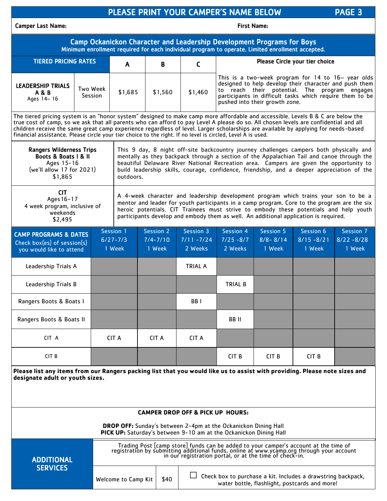|                                                                                                                                                                                                                                                                                                                                                                                                                                                                                                                              |                                                          |                                       |                                     |                                     | PLEASE PRINT YOUR CAMPER'S NAME BELOW |                                                                                                               |                                     |                                                                                                                                                                                                                               | PAGE <sub>3</sub>                    |  |  |  |
|------------------------------------------------------------------------------------------------------------------------------------------------------------------------------------------------------------------------------------------------------------------------------------------------------------------------------------------------------------------------------------------------------------------------------------------------------------------------------------------------------------------------------|----------------------------------------------------------|---------------------------------------|-------------------------------------|-------------------------------------|---------------------------------------|---------------------------------------------------------------------------------------------------------------|-------------------------------------|-------------------------------------------------------------------------------------------------------------------------------------------------------------------------------------------------------------------------------|--------------------------------------|--|--|--|
| <b>Camper Last Name:</b>                                                                                                                                                                                                                                                                                                                                                                                                                                                                                                     | <b>First Name:</b>                                       |                                       |                                     |                                     |                                       |                                                                                                               |                                     |                                                                                                                                                                                                                               |                                      |  |  |  |
| Camp Ockanickon Character and Leadership Development Programs for Boys<br>Minimum enrollment required for each individual program to operate. Limited enrollment accepted.                                                                                                                                                                                                                                                                                                                                                   |                                                          |                                       |                                     |                                     |                                       |                                                                                                               |                                     |                                                                                                                                                                                                                               |                                      |  |  |  |
| <b>TIERED PRICING RATES</b><br>Please Circle your tier choice<br>B<br>C<br>A                                                                                                                                                                                                                                                                                                                                                                                                                                                 |                                                          |                                       |                                     |                                     |                                       |                                                                                                               |                                     |                                                                                                                                                                                                                               |                                      |  |  |  |
| <b>LEADERSHIP TRIALS</b><br><b>A &amp; B</b><br>Ages 14-16                                                                                                                                                                                                                                                                                                                                                                                                                                                                   |                                                          | <b>Two Week</b><br>\$1,685<br>Session |                                     | \$1,560                             | \$1,460                               | pushed into their growth zone.                                                                                |                                     | This is a two-week program for $14$ to $16-$ year olds<br>designed to help develop their character and push them<br>to reach their potential. The program engages<br>participants in difficult tasks which require them to be |                                      |  |  |  |
| The tiered pricing system is an "honor system" designed to make camp more affordable and accessible. Levels B & C are below the<br>true cost of camp, so we ask that all parents who can afford to pay Level A please do so. All chosen levels are confidential and all<br>children receive the same great camp experience regardless of level. Larger scholarships are available by applying for needs-based<br>financial assistance. Please circle your tier choice to the right. If no level is circled, Level A is used. |                                                          |                                       |                                     |                                     |                                       |                                                                                                               |                                     |                                                                                                                                                                                                                               |                                      |  |  |  |
| <b>Rangers Wilderness Trips</b><br>This 9 day, 8 night off-site backcountry journey challenges campers both physically and<br>Boots & Boats   & II<br>mentally as they backpack through a section of the Appalachian Tail and canoe through the<br>Ages 15-16<br>beautiful Delaware River National Recreation area. Campers are given the opportunity to<br>(we'll allow 17 for 2021)<br>build leadership skills, courage, confidence, friendship, and a deeper appreciation of the<br>\$1,865<br>outdoors.                  |                                                          |                                       |                                     |                                     |                                       |                                                                                                               |                                     |                                                                                                                                                                                                                               |                                      |  |  |  |
| <b>CIT</b><br>A 4-week character and leadership development program which trains your son to be a<br>Ages 16-17<br>mentor and leader for youth participants in a camp program. Core to the program are the six<br>4 week program, inclusive of<br>heroic potentials. CIT Trainees must strive to embody these potentials and help youth<br>weekends<br>participants develop and embody them as well. An additional application is required.<br>\$2,495                                                                       |                                                          |                                       |                                     |                                     |                                       |                                                                                                               |                                     |                                                                                                                                                                                                                               |                                      |  |  |  |
| <b>CAMP PROGRAMS &amp; DATES</b><br>Check box(es) of session(s)<br>you would like to attend                                                                                                                                                                                                                                                                                                                                                                                                                                  |                                                          |                                       | Session 1<br>$6/27 - 7/3$<br>1 Week | Session 2<br>$7/4 - 7/10$<br>1 Week | Session 3<br>$7/11 - 7/24$<br>2 Weeks | <b>Session 4</b><br>$7/25 - 8/7$<br>2 Weeks                                                                   | Session 5<br>$8/8 - 8/14$<br>1 Week | Session 6<br>$8/15 - 8/21$<br>1 Week                                                                                                                                                                                          | Session 7<br>$8/22 - 8/28$<br>1 Week |  |  |  |
| Leadership Trials A                                                                                                                                                                                                                                                                                                                                                                                                                                                                                                          |                                                          |                                       |                                     |                                     | <b>TRIAL A</b>                        |                                                                                                               |                                     |                                                                                                                                                                                                                               |                                      |  |  |  |
| Leadership Trials B                                                                                                                                                                                                                                                                                                                                                                                                                                                                                                          | <b>TRIAL B</b>                                           |                                       |                                     |                                     |                                       |                                                                                                               |                                     |                                                                                                                                                                                                                               |                                      |  |  |  |
| Rangers Boots & Boats I                                                                                                                                                                                                                                                                                                                                                                                                                                                                                                      |                                                          |                                       |                                     | BB <sub>I</sub>                     |                                       |                                                                                                               |                                     |                                                                                                                                                                                                                               |                                      |  |  |  |
| Rangers Boots & Boats II                                                                                                                                                                                                                                                                                                                                                                                                                                                                                                     |                                                          |                                       |                                     |                                     |                                       | BB II                                                                                                         |                                     |                                                                                                                                                                                                                               |                                      |  |  |  |
| CIT A                                                                                                                                                                                                                                                                                                                                                                                                                                                                                                                        |                                                          |                                       | <b>CIT A</b>                        | <b>CIT A</b>                        | <b>CIT A</b>                          |                                                                                                               |                                     |                                                                                                                                                                                                                               |                                      |  |  |  |
| CIT <sub>B</sub>                                                                                                                                                                                                                                                                                                                                                                                                                                                                                                             | CIT <sub>B</sub><br>CIT <sub>B</sub><br>CIT <sub>B</sub> |                                       |                                     |                                     |                                       |                                                                                                               |                                     |                                                                                                                                                                                                                               |                                      |  |  |  |
| Please list any items from our Rangers packing list that you would like us to assist with providing. Please note sizes and<br>designate adult or youth sizes.                                                                                                                                                                                                                                                                                                                                                                |                                                          |                                       |                                     |                                     |                                       |                                                                                                               |                                     |                                                                                                                                                                                                                               |                                      |  |  |  |
| <b>CAMPER DROP OFF &amp; PICK UP HOURS:</b>                                                                                                                                                                                                                                                                                                                                                                                                                                                                                  |                                                          |                                       |                                     |                                     |                                       |                                                                                                               |                                     |                                                                                                                                                                                                                               |                                      |  |  |  |
| <b>DROP OFF:</b> Sunday's between 2-4pm at the Ockanickon Dining Hall<br>PICK UP: Saturday's between 9-10 am at the Ockanickon Dining Hall                                                                                                                                                                                                                                                                                                                                                                                   |                                                          |                                       |                                     |                                     |                                       |                                                                                                               |                                     |                                                                                                                                                                                                                               |                                      |  |  |  |
| Trading Post [camp store] funds can be added to your camper's account at the time of registration by submitting additional funds, online at www.ycamp.org through your account<br>in our registration portal, or at the time of check-in.<br><b>ADDITIONAL</b>                                                                                                                                                                                                                                                               |                                                          |                                       |                                     |                                     |                                       |                                                                                                               |                                     |                                                                                                                                                                                                                               |                                      |  |  |  |
| <b>SERVICES</b>                                                                                                                                                                                                                                                                                                                                                                                                                                                                                                              |                                                          |                                       | Welcome to Camp Kit                 | \$40                                |                                       | Check box to purchase a kit. Includes a drawstring backpack,<br>water bottle, flashlight, postcards and more! |                                     |                                                                                                                                                                                                                               |                                      |  |  |  |